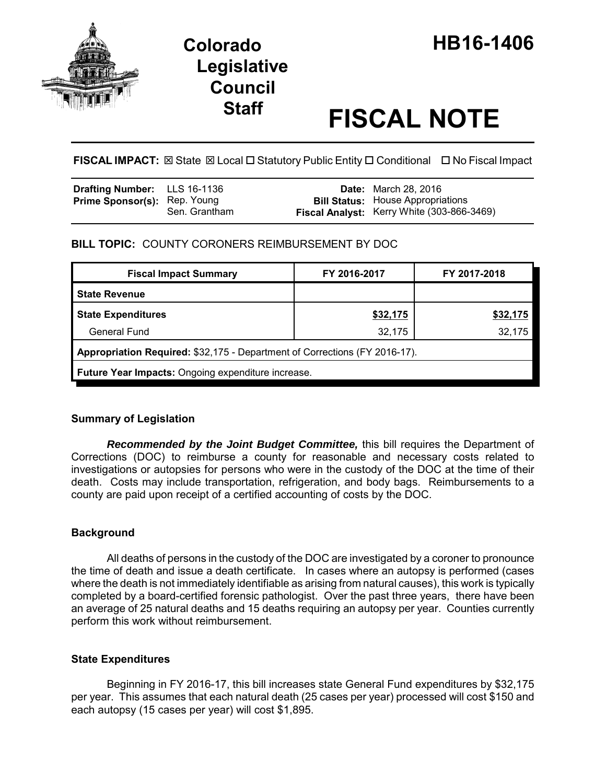

# **Staff FISCAL NOTE**

**FISCAL IMPACT:** ⊠ State ⊠ Local □ Statutory Public Entity □ Conditional □ No Fiscal Impact

| <b>Drafting Number:</b> LLS 16-1136 |               | <b>Date:</b> March 28, 2016                                                            |
|-------------------------------------|---------------|----------------------------------------------------------------------------------------|
| <b>Prime Sponsor(s): Rep. Young</b> | Sen. Grantham | <b>Bill Status:</b> House Appropriations<br>Fiscal Analyst: Kerry White (303-866-3469) |

## **BILL TOPIC:** COUNTY CORONERS REIMBURSEMENT BY DOC

| <b>Fiscal Impact Summary</b>                                               | FY 2016-2017 | FY 2017-2018 |  |  |  |
|----------------------------------------------------------------------------|--------------|--------------|--|--|--|
| <b>State Revenue</b>                                                       |              |              |  |  |  |
| <b>State Expenditures</b>                                                  | \$32,175     | \$32,175     |  |  |  |
| General Fund                                                               | 32,175       | 32,175       |  |  |  |
| Appropriation Required: \$32,175 - Department of Corrections (FY 2016-17). |              |              |  |  |  |
| Future Year Impacts: Ongoing expenditure increase.                         |              |              |  |  |  |

## **Summary of Legislation**

*Recommended by the Joint Budget Committee,* this bill requires the Department of Corrections (DOC) to reimburse a county for reasonable and necessary costs related to investigations or autopsies for persons who were in the custody of the DOC at the time of their death. Costs may include transportation, refrigeration, and body bags. Reimbursements to a county are paid upon receipt of a certified accounting of costs by the DOC.

## **Background**

All deaths of persons in the custody of the DOC are investigated by a coroner to pronounce the time of death and issue a death certificate. In cases where an autopsy is performed (cases where the death is not immediately identifiable as arising from natural causes), this work is typically completed by a board-certified forensic pathologist. Over the past three years, there have been an average of 25 natural deaths and 15 deaths requiring an autopsy per year. Counties currently perform this work without reimbursement.

## **State Expenditures**

Beginning in FY 2016-17, this bill increases state General Fund expenditures by \$32,175 per year. This assumes that each natural death (25 cases per year) processed will cost \$150 and each autopsy (15 cases per year) will cost \$1,895.